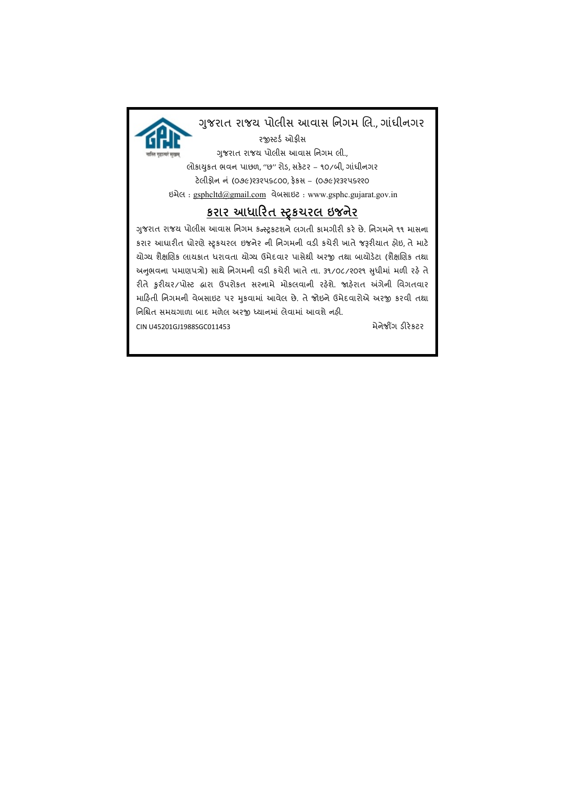

## ગુજરાત રાજય પોલીસ આવાસ નિગમ લિ., ગાંધીનગર

રજીસ્ટર્ડ ઓફીસ ગુજરાત રાજય પોલીસ આવાસ નિગમ લી., सखम લોકાચુકત ભવન પાછળ, "છ" રોડ, સકેટર – ૧૦/બી, ગાંધીનગર ટ°લીફોન નં (૦૭૯)૨૩૨૫૬૮૦૦, ફ°કસ – (૦૭૯)૨૩૨૫૬૨૨૦ ઇમેલ : gsphcltd@gmail.com વેબસાઇટ : www.gsphc.gujarat.gov.in

# કરાર આધારિત સ્ટ્રકચરલ ઇજનેર

ગુજરાત રાજય પોલીસ આવાસ નિગમ કન્સ્ટ્રકટશને લગતી કામગીરી કરે છે. નિગમને ૧૧ માસના કરાર આધારીત ધોરણે સ્ટ્રકચરલ ઇજનેર ની નિગમની વડી કચેરી ખાતે જરૂરીયાત ફોઇ, તે માટે યોગ્ય શૈક્ષણિક લાયકાત ધરાવતા યોગ્ય ઉમેદવાર પાસેથી અરજી તથા બાયોડેટા (શૈક્ષણિક તથા અનુભવના પમાણપત્રો) સાથે નિગમની વડી કચેરી ખાતે તા. ૩૧/૦૮/૨૦૨૧ સુધીમાં મળી રહે તે રીતે કુરીયર/પોસ્ટ હ્રારા ઉપરોકત સરનામે મોકલવાની રફેશે. જાહેરાત અંગેની વિગતવાર માહિતી નિગમની વેબસાઇટ ૫ર મુકવામાં આવેલ છે. તે જોઇને ઉમેદવારોએ અરજી કરવી તથા નિશ્ચિત સમયગાળા બાદ મળેલ અરજી ધ્યાનમાં લેવામાં આવશે નહી. CIN U45201GJ1988SGC011453 મેનેજી સામે પ્રાપ્ત કરવા માટે કોર્ડ કરવા માટે કોર્ડ કરવા માટે કોર્ડ કરવા માટે કોર્ડ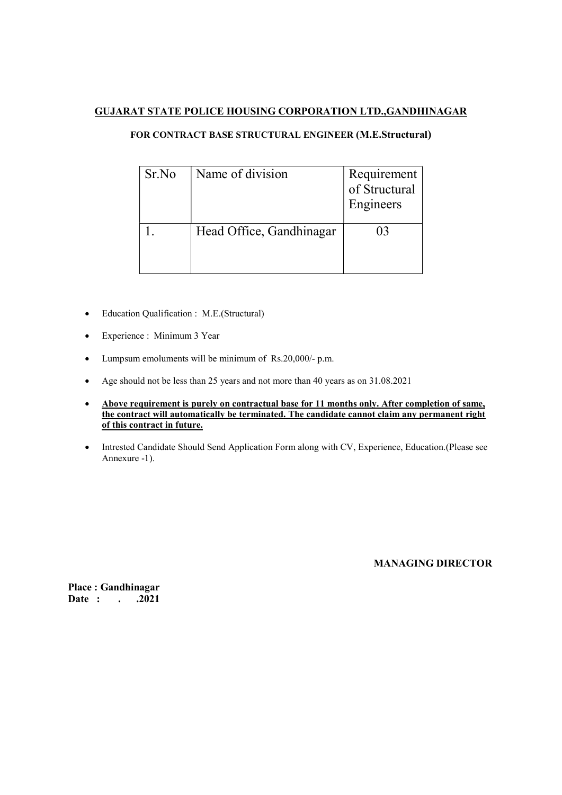#### GUJARAT STATE POLICE HOUSING CORPORATION LTD.,GANDHINAGAR

#### FOR CONTRACT BASE STRUCTURAL ENGINEER (M.E.Structural)

| Sr.No | Name of division         | Requirement<br>of Structural<br>Engineers |
|-------|--------------------------|-------------------------------------------|
|       | Head Office, Gandhinagar | 03                                        |

- Education Qualification : M.E.(Structural)
- Experience : Minimum 3 Year
- Lumpsum emoluments will be minimum of Rs.20,000/- p.m.
- Age should not be less than 25 years and not more than 40 years as on 31.08.2021
- Above requirement is purely on contractual base for 11 months only. After completion of same, the contract will automatically be terminated. The candidate cannot claim any permanent right of this contract in future.
- Intrested Candidate Should Send Application Form along with CV, Experience, Education.(Please see Annexure -1).

MANAGING DIRECTOR

Place : Gandhinagar Date : . . . 2021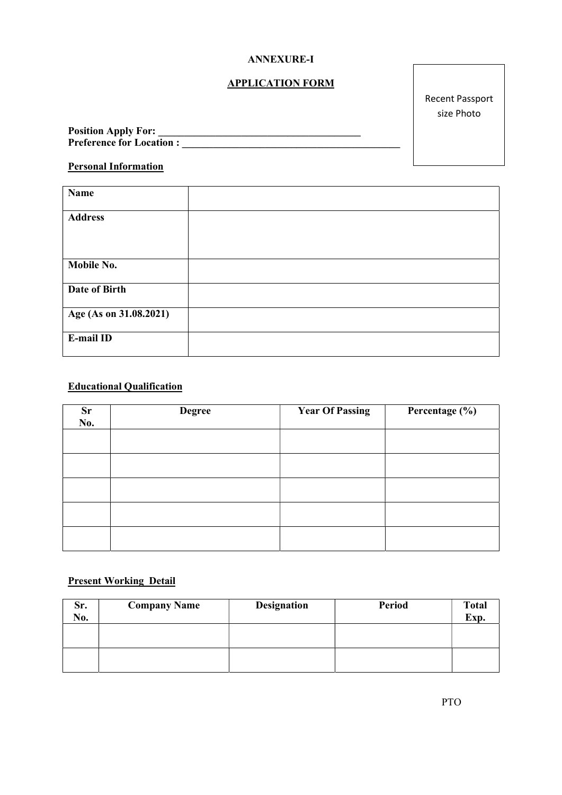#### ANNEXURE-I

### APPLICATION FORM

Recent Passport size Photo

| <b>Position Apply For:</b>      |  |
|---------------------------------|--|
| <b>Preference for Location:</b> |  |

### Personal Information

| <b>Name</b>            |  |
|------------------------|--|
| <b>Address</b>         |  |
|                        |  |
| Mobile No.             |  |
| Date of Birth          |  |
| Age (As on 31.08.2021) |  |
| E-mail ID              |  |

## Educational Qualification

| <b>Sr</b><br>No. | <b>Degree</b> | <b>Year Of Passing</b> | Percentage (%) |
|------------------|---------------|------------------------|----------------|
|                  |               |                        |                |
|                  |               |                        |                |
|                  |               |                        |                |
|                  |               |                        |                |
|                  |               |                        |                |

### Present Working Detail

| Sr.<br>No. | <b>Company Name</b> | <b>Designation</b> | <b>Period</b> | <b>Total</b><br>Exp. |
|------------|---------------------|--------------------|---------------|----------------------|
|            |                     |                    |               |                      |
|            |                     |                    |               |                      |